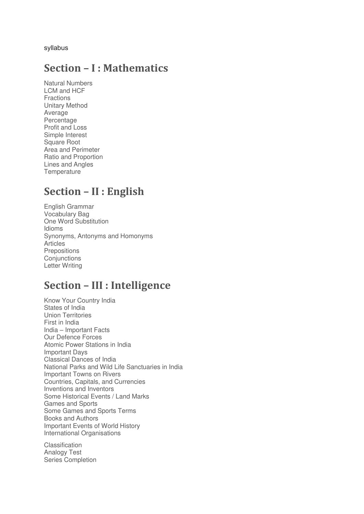syllabus

## **Section – I : Mathematics**

Natural Numbers LCM and HCF Fractions Unitary Method Average Percentage Profit and Loss Simple Interest Square Root Area and Perimeter Ratio and Proportion Lines and Angles **Temperature** 

# **Section – II : English**

English Grammar Vocabulary Bag One Word Substitution Idioms Synonyms, Antonyms and Homonyms Articles **Prepositions Conjunctions** Letter Writing

## **Section – III : Intelligence**

Know Your Country India States of India Union Territories First in India India – Important Facts Our Defence Forces Atomic Power Stations in India Important Days Classical Dances of India National Parks and Wild Life Sanctuaries in India Important Towns on Rivers Countries, Capitals, and Currencies Inventions and Inventors Some Historical Events / Land Marks Games and Sports Some Games and Sports Terms Books and Authors Important Events of World History International Organisations

Classification Analogy Test Series Completion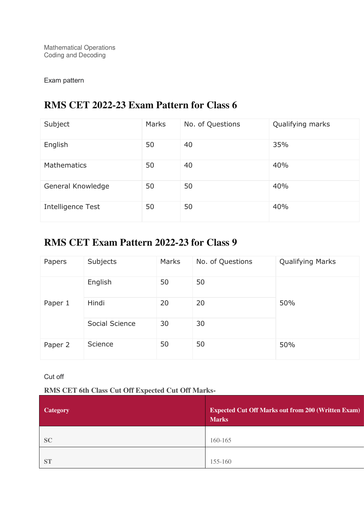Mathematical Operations Coding and Decoding

#### Exam pattern

## **RMS CET 2022-23 Exam Pattern for Class 6**

| Subject            | Marks | No. of Questions | Qualifying marks |
|--------------------|-------|------------------|------------------|
| English            | 50    | 40               | 35%              |
| <b>Mathematics</b> | 50    | 40               | 40%              |
| General Knowledge  | 50    | 50               | 40%              |
| Intelligence Test  | 50    | 50               | 40%              |

## **RMS CET Exam Pattern 2022-23 for Class 9**

| Papers  | Subjects       | Marks | No. of Questions | <b>Qualifying Marks</b> |
|---------|----------------|-------|------------------|-------------------------|
|         | English        | 50    | 50               |                         |
| Paper 1 | Hindi          | 20    | 20               | 50%                     |
|         | Social Science | 30    | 30               |                         |
| Paper 2 | Science        | 50    | 50               | 50%                     |

Cut off

#### **RMS CET 6th Class Cut Off Expected Cut Off Marks-**

| <b>Category</b> | <b>Expected Cut Off Marks out from 200 (Written Exam)</b><br><b>Marks</b> |
|-----------------|---------------------------------------------------------------------------|
| <b>SC</b>       | 160-165                                                                   |
| <b>ST</b>       | 155-160                                                                   |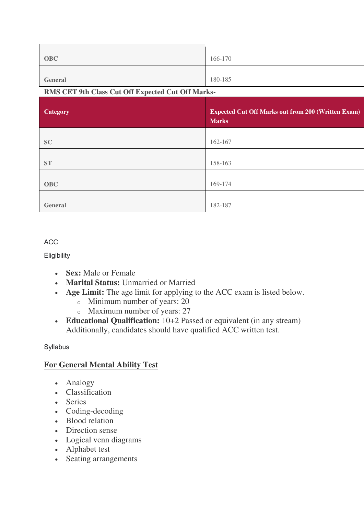| <b>OBC</b>                                        | 166-170                                                   |  |  |
|---------------------------------------------------|-----------------------------------------------------------|--|--|
|                                                   |                                                           |  |  |
| <b>General</b>                                    | 180-185                                                   |  |  |
| RMS CET 9th Class Cut Off Expected Cut Off Marks- |                                                           |  |  |
|                                                   |                                                           |  |  |
| <b>Category</b>                                   | <b>Expected Cut Off Marks out from 200 (Written Exam)</b> |  |  |
|                                                   | <b>Marks</b>                                              |  |  |
|                                                   |                                                           |  |  |
|                                                   |                                                           |  |  |
| <b>SC</b>                                         | 162-167                                                   |  |  |
|                                                   |                                                           |  |  |
| <b>ST</b>                                         | 158-163                                                   |  |  |
|                                                   |                                                           |  |  |
| <b>OBC</b>                                        | 169-174                                                   |  |  |

#### ACC

**Eligibility** 

- **Sex:** Male or Female
- **Marital Status:** Unmarried or Married
- **Age Limit:** The age limit for applying to the ACC exam is listed below.
	- o Minimum number of years: 20

**General** 182-187

- o Maximum number of years: 27
- **Educational Qualification:** 10+2 Passed or equivalent (in any stream) Additionally, candidates should have qualified ACC written test.

## Syllabus

## **For General Mental Ability Test**

- Analogy
- Classification
- Series
- Coding-decoding
- Blood relation
- Direction sense
- Logical venn diagrams
- Alphabet test
- Seating arrangements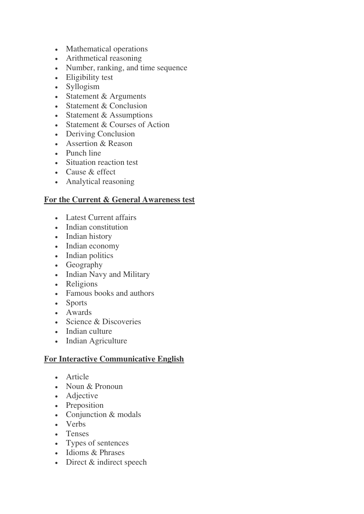- Mathematical operations
- Arithmetical reasoning
- Number, ranking, and time sequence
- Eligibility test
- Syllogism
- Statement & Arguments
- Statement & Conclusion
- Statement & Assumptions
- Statement & Courses of Action
- Deriving Conclusion
- Assertion & Reason
- Punch line
- Situation reaction test
- Cause & effect
- Analytical reasoning

#### **For the Current & General Awareness test**

- Latest Current affairs
- Indian constitution
- Indian history
- Indian economy
- Indian politics
- Geography
- Indian Navy and Military
- Religions
- Famous books and authors
- Sports
- Awards
- Science & Discoveries
- Indian culture
- Indian Agriculture

## **For Interactive Communicative English**

- Article
- Noun & Pronoun
- Adjective
- Preposition
- Conjunction & modals
- Verbs
- Tenses
- Types of sentences
- Idioms & Phrases
- Direct & indirect speech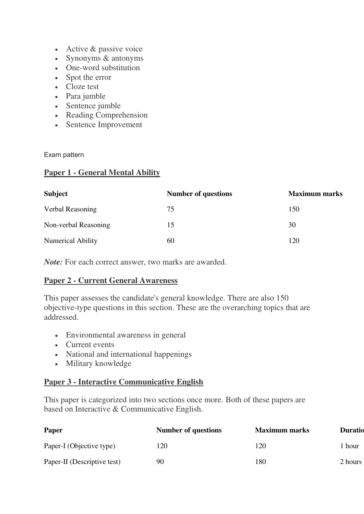- Active & passive voice
- Synonyms & antonyms
- One-word substitution
- Spot the error
- Cloze test
- Para jumble
- Sentence jumble
- Reading Comprehension
- Sentence Improvement

Exam pattern

#### **Paper 1 - General Mental Ability**

| <b>Subject</b>           | <b>Number of questions</b> | <b>Maximum marks</b> |
|--------------------------|----------------------------|----------------------|
| Verbal Reasoning         | 75                         | 150                  |
| Non-verbal Reasoning     | 15                         | 30                   |
| <b>Numerical Ability</b> | 60                         | 120                  |

*Note:* For each correct answer, two marks are awarded.

## **Paper 2 - Current General Awareness**

This paper assesses the candidate's general knowledge. There are also 150 objective-type questions in this section. These are the overarching topics that are addressed.

- Environmental awareness in general
- Current events
- National and international happenings
- Military knowledge

## **Paper 3 - Interactive Communicative English**

This paper is categorized into two sections once more. Both of these papers are based on Interactive & Communicative English.

| <b>Paper</b>                | <b>Number of questions</b> | <b>Maximum marks</b> | <b>Duratio</b> |
|-----------------------------|----------------------------|----------------------|----------------|
| Paper-I (Objective type)    | 120                        | 120                  | hour           |
| Paper-II (Descriptive test) | 90                         | 180                  | 2 hours        |